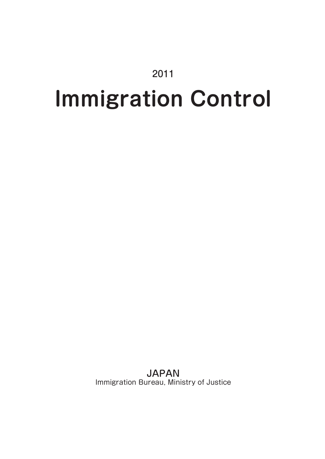# 2011

# **Immigration Control**

JAPAN Immigration Bureau, Ministry of Justice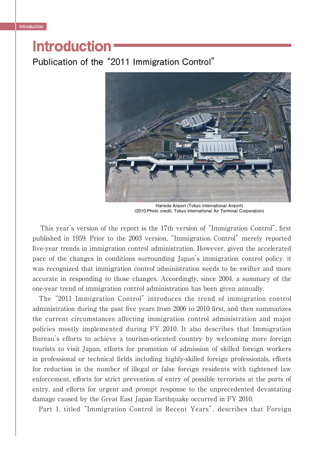# **Introduction**

**Publication of the "2011 Immigration Control"**



**Haneda Airport (Tokyo International Airport) (2010:Photo credit, Tokyo International Air Terminal Corporation)**

This year's version of the report is the 17th version of "Immigration Control", first published in 1959. Prior to the 2003 version, "Immigration Control" merely reported five-year trends in immigration control administration. However, given the accelerated pace of the changes in conditions surrounding Japan's immigration control policy, it was recognized that immigration control administration needs to be swifter and more accurate in responding to those changes. Accordingly, since 2004, a summary of the one-year trend of immigration control administration has been given annually.

 The "2011 Immigration Control" introduces the trend of immigration control administration during the past five years from 2006 to 2010 first, and then summarizes the current circumstances affecting immigration control administration and major policies mostly implemented during FY 2010. It also describes that Immigration Bureau's efforts to achieve a tourism-oriented country by welcoming more foreign tourists to visit Japan, efforts for promotion of admission of skilled foreign workers in professional or technical fields including highly-skilled foreign professionals, efforts for reduction in the number of illegal or false foreign residents with tightened law enforcement, efforts for strict prevention of entry of possible terrorists at the ports of entry, and efforts for urgent and prompt response to the unprecedented devastating damage caused by the Great East Japan Earthquake occurred in FY 2010.

Part 1, titled "Immigration Control in Recent Years", describes that Foreign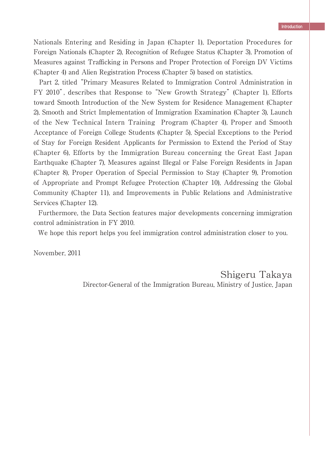Nationals Entering and Residing in Japan (Chapter 1), Deportation Procedures for Foreign Nationals (Chapter 2), Recognition of Refugee Status (Chapter 3), Promotion of Measures against Trafficking in Persons and Proper Protection of Foreign DV Victims (Chapter 4) and Alien Registration Process (Chapter 5) based on statistics.

 Part 2, titled "Primary Measures Related to Immigration Control Administration in FY 2010", describes that Response to "New Growth Strategy" (Chapter 1), Efforts toward Smooth Introduction of the New System for Residence Management (Chapter 2), Smooth and Strict Implementation of Immigration Examination (Chapter 3), Launch of the New Technical Intern Training Program (Chapter 4), Proper and Smooth Acceptance of Foreign College Students (Chapter 5), Special Exceptions to the Period of Stay for Foreign Resident Applicants for Permission to Extend the Period of Stay (Chapter 6), Efforts by the Immigration Bureau concerning the Great East Japan Earthquake (Chapter 7), Measures against Illegal or False Foreign Residents in Japan (Chapter 8), Proper Operation of Special Permission to Stay (Chapter 9), Promotion of Appropriate and Prompt Refugee Protection (Chapter 10), Addressing the Global Community (Chapter 11), and Improvements in Public Relations and Administrative Services (Chapter 12).

 Furthermore, the Data Section features major developments concerning immigration control administration in FY 2010.

We hope this report helps you feel immigration control administration closer to you.

November, 2011

Shigeru Takaya Director-General of the Immigration Bureau, Ministry of Justice, Japan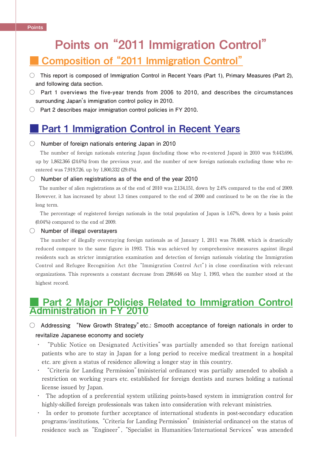# Points on "2011 Immigration Control" ■ Composition of "2011 Immigration Control"

- **This report is composed of Immigration Control in Recent Years (Part 1), Primary Measures (Part 2), and following data section.**
- **Part 1 overviews the five-year trends from 2006 to 2010, and describes the circumstances surrounding Japan's immigration control policy in 2010.**
- **Part 2 describes major immigration control policies in FY 2010.**

# **Part 1 Immigration Control in Recent Years**

#### **○ Number of foreign nationals entering Japan in 2010**

The number of foreign nationals entering Japan (including those who re-entered Japan) in 2010 was 9,443,696. up by 1,862,366 (24.6%) from the previous year, and the number of new foreign nationals excluding those who reentered was 7,919,726, up by 1,800,332 (29.4%).

#### **○ Number of alien registrations as of the end of the year 2010**

 The number of alien registrations as of the end of 2010 was 2,134,151, down by 2.4% compared to the end of 2009. However, it has increased by about 1.3 times compared to the end of 2000 and continued to be on the rise in the long term.

 The percentage of registered foreign nationals in the total population of Japan is 1.67%, down by a basis point (0.04%) compared to the end of 2009.

#### **○ Number of illegal overstayers**

The number of illegally overstaying foreign nationals as of January 1, 2011 was 78,488, which is drastically reduced compare to the same figure in 1993. This was achieved by comprehensive measures against illegal residents such as stricter immigration examination and detection of foreign nationals violating the Immigration Control and Refugee Recognition Act (the "Immigration Control Act") in close coordination with relevant organizations. This represents a constant decrease from 298,646 on May 1, 1993, when the number stood at the highest record.

### Part 2 Major Policies Related to Immigration Control Administration in FY 2010

#### **○ Addressing "New Growth Strategy"etc.: Smooth acceptance of foreign nationals in order to revitalize Japanese economy and society**

- ・ "Public Notice on Designated Activities"was partially amended so that foreign national patients who are to stay in Japan for a long period to receive medical treatment in a hospital etc. are given a status of residence allowing a longer stay in this country.
- ・ "Criteria for Landing Permission"(ministerial ordinance) was partially amended to abolish a restriction on working years etc. established for foreign dentists and nurses holding a national license issued by Japan.
- ・ The adoption of a preferential system utilizing points-based system in immigration control for highly-skilled foreign professionals was taken into consideration with relevant ministries.
- ・ In order to promote further acceptance of international students in post-secondary education programs/institutions,"Criteria for Landing Permission"(ministerial ordinance) on the status of residence such as "Engineer", "Specialist in Humanities/International Services" was amended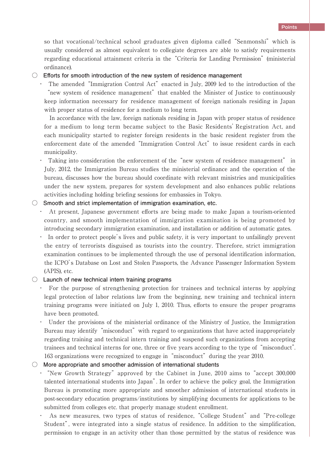so that vocational/technical school graduates given diploma called "Senmonshi" which is usually considered as almost equivalent to collegiate degrees are able to satisfy requirements regarding educational attainment criteria in the"Criteria for Landing Permission"(ministerial ordinance).

**○ Eff orts for smooth introduction of the new system of residence management**

・ The amended"Immigration Control Act"enacted in July, 2009 led to the introduction of the "new system of residence management" that enabled the Minister of Justice to continuously keep information necessary for residence management of foreign nationals residing in Japan with proper status of residence for a medium to long term.

 In accordance with the law, foreign nationals residing in Japan with proper status of residence for a medium to long term became subject to the Basic Residents'Registration Act, and each municipality started to register foreign residents in the basic resident register from the enforcement date of the amended "Immigration Control Act" to issue resident cards in each municipality.

・ Taking into consideration the enforcement of the"new system of residence management" in July, 2012, the Immigration Bureau studies the ministerial ordinance and the operation of the bureau, discusses how the bureau should coordinate with relevant ministries and municipalities under the new system, prepares for system development and also enhances public relations activities including holding briefing sessions for embassies in Tokyo.

#### **○ Smooth and strict implementation of immigration examination, etc.**

- At present, Japanese government efforts are being made to make Japan a tourism-oriented country, and smooth implementation of immigration examination is being promoted by introducing secondary immigration examination, and installation or addition of automatic gates.
- ・ In order to protect people's lives and public safety, it is very important to unfailingly prevent the entry of terrorists disguised as tourists into the country. Therefore, strict immigration examination continues to be implemented through the use of personal identification information, the ICPO's Database on Lost and Stolen Passports, the Advance Passenger Information System (APIS), etc.

#### **○ Launch of new technical intern training programs**

- For the purpose of strengthening protection for trainees and technical interns by applying legal protection of labor relations law from the beginning, new training and technical intern training programs were initiated on July 1, 2010. Thus, efforts to ensure the proper programs have been promoted.
- ・ Under the provisions of the ministerial ordinance of the Ministry of Justice, the Immigration Bureau may identify "misconduct" with regard to organizations that have acted inappropriately regarding training and technical intern training and suspend such organizations from accepting trainees and technical interns for one, three or five years according to the type of "misconduct". 163 organizations were recognized to engage in"misconduct"during the year 2010.

#### **○ More appropriate and smoother admission of international students**

- "New Growth Strategy" approved by the Cabinet in June, 2010 aims to "accept 300,000 talented international students into Japan". In order to achieve the policy goal, the Immigration Bureau is promoting more appropriate and smoother admission of international students in post-secondary education programs/institutions by simplifying documents for applications to be submitted from colleges etc. that properly manage student enrollment.
- As new measures, two types of status of residence, "College Student" and "Pre-college Student", were integrated into a single status of residence. In addition to the simplification, permission to engage in an activity other than those permitted by the status of residence was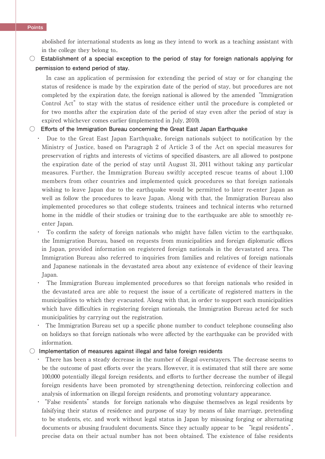#### **Points**

abolished for international students as long as they intend to work as a teaching assistant with in the college they belong to..

**○ Establishment of a special exception to the period of stay for foreign nationals applying for permission to extend period of stay.**

 In case an application of permission for extending the period of stay or for changing the status of residence is made by the expiration date of the period of stay, but procedures are not completed by the expiration date, the foreign national is allowed by the amended"Immigration Control Act" to stay with the status of residence either until the procedure is completed or for two months after the expiration date of the period of stay even after the period of stay is expired whichever comes earlier (implemented in July, 2010).

#### **○ Eff orts of the Immigration Bureau concerning the Great East Japan Earthquake**

・ Due to the Great East Japan Earthquake, foreign nationals subject to notification by the Ministry of Justice, based on Paragraph 2 of Article 3 of the Act on special measures for preservation of rights and interests of victims of specified disasters, are all allowed to postpone the expiration date of the period of stay until August 31, 2011 without taking any particular measures. Further, the Immigration Bureau swiftly accepted rescue teams of about 1,100 members from other countries and implemented quick procedures so that foreign nationals wishing to leave Japan due to the earthquake would be permitted to later re-enter Japan as well as follow the procedures to leave Japan. Along with that, the Immigration Bureau also implemented procedures so that college students, trainees and technical interns who returned home in the middle of their studies or training due to the earthquake are able to smoothly reenter Japan.

To confirm the safety of foreign nationals who might have fallen victim to the earthquake, the Immigration Bureau, based on requests from municipalities and foreign diplomatic offices in Japan, provided information on registered foreign nationals in the devastated area. The Immigration Bureau also referred to inquiries from families and relatives of foreign nationals and Japanese nationals in the devastated area about any existence of evidence of their leaving Japan.

The Immigration Bureau implemented procedures so that foreign nationals who resided in the devastated area are able to request the issue of a certificate of registered matters in the municipalities to which they evacuated. Along with that, in order to support such municipalities which have difficulties in registering foreign nationals, the Immigration Bureau acted for such municipalities by carrying out the registration.

The Immigration Bureau set up a specific phone number to conduct telephone counseling also on holidays so that foreign nationals who were affected by the earthquake can be provided with information.

#### **○ Implementation of measures against illegal and false foreign residents**

・ There has been a steady decrease in the number of illegal overstayers. The decrease seems to be the outcome of past efforts over the years. However, it is estimated that still there are some 100,000 potentially illegal foreign residents, and efforts to further decrease the number of illegal foreign residents have been promoted by strengthening detection, reinforcing collection and analysis of information on illegal foreign residents, and promoting voluntary appearance.

• "False residents" stands for foreign nationals who disguise themselves as legal residents by falsifying their status of residence and purpose of stay by means of fake marriage, pretending to be students, etc. and work without legal status in Japan by misusing forging or alternating documents or abusing fraudulent documents. Since they actually appear to be "legal residents", precise data on their actual number has not been obtained. The existence of false residents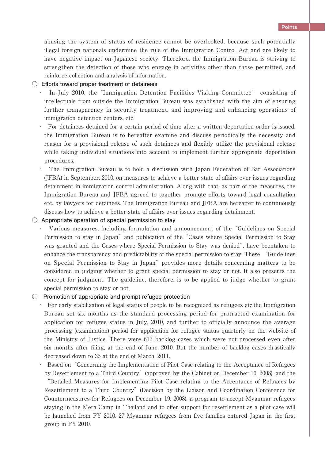abusing the system of status of residence cannot be overlooked, because such potentially illegal foreign nationals undermine the rule of the Immigration Control Act and are likely to have negative impact on Japanese society. Therefore, the Immigration Bureau is striving to strengthen the detection of those who engage in activities other than those permitted, and reinforce collection and analysis of information.

#### **○ Eff orts toward proper treatment of detainees**

- ・ In July 2010, the"Immigration Detention Facilities Visiting Committee" consisting of intellectuals from outside the Immigration Bureau was established with the aim of ensuring further transparency in security treatment, and improving and enhancing operations of immigration detention centers, etc.
- ・ For detainees detained for a certain period of time after a written deportation order is issued, the Immigration Bureau is to hereafter examine and discuss periodically the necessity and reason for a provisional release of such detainees and flexibly utilize the provisional release while taking individual situations into account to implement further appropriate deportation procedures.
- ・ The Immigration Bureau is to hold a discussion with Japan Federation of Bar Associations (JFBA) in September, 2010, on measures to achieve a better state of affairs over issues regarding detainment in immigration control administration. Along with that, as part of the measures, the Immigration Bureau and JFBA agreed to together promote efforts toward legal consultation etc. by lawyers for detainees. The Immigration Bureau and JFBA are hereafter to continuously discuss how to achieve a better state of affairs over issues regarding detainment.

#### **○ Appropriate operation of special permission to stay**

Various measures, including formulation and announcement of the "Guidelines on Special Permission to stay in Japan" and publication of the "Cases where Special Permission to Stay was granted and the Cases where Special Permission to Stay was denied", have beentaken to enhance the transparency and predictability of the special permission to stay. These "Guidelines on Special Permission to Stay in Japan" provides more details concerning matters to be considered in judging whether to grant special permission to stay or not. It also presents the concept for judgment. The guideline, therefore, is to be applied to judge whether to grant special permission to stay or not.

#### **○ Promotion of appropriate and prompt refugee protection**

・ For early stabilization of legal status of people to be recognized as refugees etc.the Immigration Bureau set six months as the standard processing period for protracted examination for application for refugee status in July, 2010, and further to officially announce the average processing (examination) period for application for refugee status quarterly on the website of the Ministry of Justice. There were 612 backlog cases which were not processed even after six months after filing, at the end of June, 2010. But the number of backlog cases drastically decreased down to 35 at the end of March, 2011.

・ Based on"Concerning the Implementation of Pilot Case relating to the Acceptance of Refugees by Resettlement to a Third Country"(approved by the Cabinet on December 16, 2008), and the

"Detailed Measures for Implementing Pilot Case relating to the Acceptance of Refugees by Resettlement to a Third Country"(Decision by the Liaison and Coordination Conference for Countermeasures for Refugees on December 19, 2008), a program to accept Myanmar refugees staying in the Mera Camp in Thailand and to offer support for resettlement as a pilot case will be launched from FY 2010. 27 Myanmar refugees from five families entered Japan in the first group in FY 2010.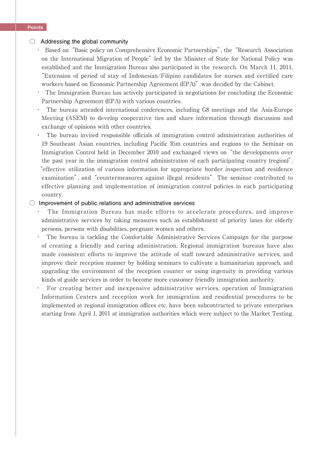#### **○ Addressing the global community**

- ・ Based on"Basic policy on Comprehensive Economic Partnerships", the"Research Association on the International Migration of People" led by the Minister of State for National Policy was established and the Immigration Bureau also participated in the research. On March 11, 2011, "Extension of period of stay of Indonesian/Filipino candidates for nurses and certified care workers based on Economic Partnership Agreement (EPA)" was decided by the Cabinet.
- ・ The Immigration Bureau has actively participated in negotiations for concluding the Economic Partnership Agreement (EPA) with various countries.
- The bureau attended international conferences, including G8 meetings and the Asia-Europe Meeting (ASEM) to develop cooperative ties and share information through discussion and exchange of opinions with other countries.
- The bureau invited responsible officials of immigration control administration authorities of 19 Southeast Asian countries, including Pacific Rim countries and regions to the Seminar on Immigration Control held in December 2010 and exchanged views on"the developments over the past year in the immigration control administration of each participating country (region)", "effective utilization of various information for appropriate border inspection and residence examination", and"countermeasures against illegal residents". The seminar contributed to effective planning and implementation of immigration control policies in each participating country.

#### **○ Improvement of public relations and administrative services**

- The Immigration Bureau has made efforts to accelerate procedures, and improve administrative services by taking measures such as establishment of priority lanes for elderly persons, persons with disabilities, pregnant women and others.
- ・ The bureau is tackling the Comfortable Administrative Services Campaign for the purpose of creating a friendly and caring administration. Regional immigration bureaus have also made consistent efforts to improve the attitude of staff toward administrative services, and improve their reception manner by holding seminars to cultivate a humanitarian approach, and upgrading the environment of the reception counter or using ingenuity in providing various kinds of guide services in order to become more customer friendly immigration authority.
- For creating better and inexpensive administrative services, operation of Immigration Information Centers and reception work for immigration and residential procedures to be implemented at regional immigration offices etc. have been subcontracted to private enterprises starting from April 1, 2011 at immigration authorities which were subject to the Market Testing.

#### **Points**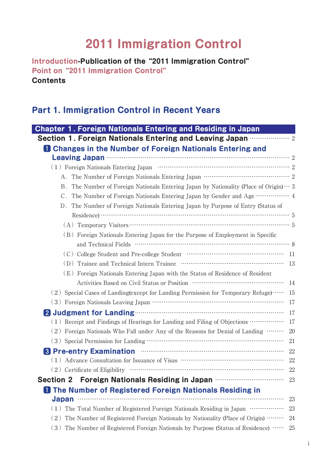# **2011 Immigration Control**

**Introduction-Publication of the"2011 Immigration Control" Point on"2011 Immigration Control" Contents**

### **Part 1. Immigration Control in Recent Years**

| <b>Chapter 1. Foreign Nationals Entering and Residing in Japan</b>                            |     |
|-----------------------------------------------------------------------------------------------|-----|
| Section 1. Foreign Nationals Entering and Leaving Japan <b>with the Section 1.</b>            |     |
| <b>1 Changes in the Number of Foreign Nationals Entering and</b>                              |     |
| Leaving Japan <b>Commission Commission</b> Contract 2                                         |     |
|                                                                                               |     |
|                                                                                               |     |
| B. The Number of Foreign Nationals Entering Japan by Nationality (Place of Origin) $\cdots$ 3 |     |
| The Number of Foreign Nationals Entering Japan by Gender and Age  4<br>C.                     |     |
| The Number of Foreign Nationals Entering Japan by Purpose of Entry (Status of<br>D.           |     |
|                                                                                               |     |
|                                                                                               |     |
| (B) Foreign Nationals Entering Japan for the Purpose of Employment in Specific                |     |
|                                                                                               |     |
|                                                                                               |     |
|                                                                                               | -13 |
| (E) Foreign Nationals Entering Japan with the Status of Residence of Resident                 |     |
|                                                                                               | 14  |
| $(2)$ Special Cases of Landing (except for Landing Permission for Temporary Refuge)           | 15  |
|                                                                                               | 17  |
| 2 Judgment for Landing <b>Commission Commission</b>                                           | 17  |
| (1) Receipt and Findings of Hearings for Landing and Filing of Objections ………………              | 17  |
| (2) Foreign Nationals Who Fall under Any of the Reasons for Denial of Landing                 | 20  |
|                                                                                               | 21  |
| 8 Pre-entry Examination <b>Communication B</b>                                                | 22  |
| (1) Advance Consultation for Issuance of Visas ………………………………………………………………………………………              | 22  |
|                                                                                               |     |
| <b>Section 2</b>                                                                              | 23  |
| The Number of Registered Foreign Nationals Residing in                                        |     |
| <b>Japan</b>                                                                                  | 23  |
| (1) The Total Number of Registered Foreign Nationals Residing in Japan                        | 23  |
| $(2)$ The Number of Registered Foreign Nationals by Nationality (Place of Origin) $\cdots$    | 24  |
| The Number of Registered Foreign Nationals by Purpose (Status of Residence)<br>(3)            | 25  |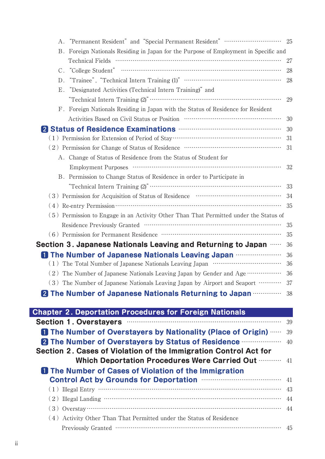|                                                                                                                                                                                                                                                                                                                                                                              | - 25 |
|------------------------------------------------------------------------------------------------------------------------------------------------------------------------------------------------------------------------------------------------------------------------------------------------------------------------------------------------------------------------------|------|
| B. Foreign Nationals Residing in Japan for the Purpose of Employment in Specific and                                                                                                                                                                                                                                                                                         |      |
|                                                                                                                                                                                                                                                                                                                                                                              | 27   |
|                                                                                                                                                                                                                                                                                                                                                                              | 28   |
| D.                                                                                                                                                                                                                                                                                                                                                                           | 28   |
| "Designated Activities (Technical Intern Training)" and<br>Ε.                                                                                                                                                                                                                                                                                                                |      |
|                                                                                                                                                                                                                                                                                                                                                                              | 29   |
| F. Foreign Nationals Residing in Japan with the Status of Residence for Resident                                                                                                                                                                                                                                                                                             |      |
| Activities Based on Civil Status or Position manufactured and Status Districts.                                                                                                                                                                                                                                                                                              | 30   |
| 2 Status of Residence Examinations <b>Manual Status of Residence Examinations</b>                                                                                                                                                                                                                                                                                            | 30   |
|                                                                                                                                                                                                                                                                                                                                                                              | 31   |
| $\left( \hspace{0.1cm} 2 \hspace{0.1cm} \right) \hspace{0.1cm}$ Permission for Change of Status of Residence<br>$\hspace{0.1cm} \cdots \hspace{0.1cm} \cdots \hspace{0.1cm} \cdots \hspace{0.1cm} \cdots \hspace{0.1cm} \cdots \hspace{0.1cm} \cdots \hspace{0.1cm} \cdots \hspace{0.1cm} \cdots \hspace{0.1cm} \cdots \hspace{0.1cm} \cdots \hspace{0.1cm} \cdots \hspace{$ | 31   |
| A. Change of Status of Residence from the Status of Student for                                                                                                                                                                                                                                                                                                              |      |
|                                                                                                                                                                                                                                                                                                                                                                              | 32   |
| B. Permission to Change Status of Residence in order to Participate in                                                                                                                                                                                                                                                                                                       |      |
|                                                                                                                                                                                                                                                                                                                                                                              | 33   |
| $\left( \hspace{0.1cm}3\hspace{0.1cm} \right) \hspace{0.1cm}$ Permission for Acquisition of Status of Residence $\hspace{0.3cm}$ $\hspace{0.1cm}$ $\hspace{0.1cm}$ $\hspace{0.1cm}$ . $\hspace{0.1cm}$ $\hspace{0.1cm}$                                                                                                                                                      | 34   |
|                                                                                                                                                                                                                                                                                                                                                                              | 35   |
| (5) Permission to Engage in an Activity Other Than That Permitted under the Status of                                                                                                                                                                                                                                                                                        |      |
|                                                                                                                                                                                                                                                                                                                                                                              | 35   |
|                                                                                                                                                                                                                                                                                                                                                                              | 35   |
| Section 3. Japanese Nationals Leaving and Returning to Japan <b></b>                                                                                                                                                                                                                                                                                                         | 36   |
|                                                                                                                                                                                                                                                                                                                                                                              | 36   |
|                                                                                                                                                                                                                                                                                                                                                                              | 36   |
| (2) The Number of Japanese Nationals Leaving Japan by Gender and Age ………………                                                                                                                                                                                                                                                                                                  | 36   |
| (3) The Number of Japanese Nationals Leaving Japan by Airport and Seaport ………… 37                                                                                                                                                                                                                                                                                            |      |
| <b>2 The Number of Japanese Nationals Returning to Japan <b>Common Strate</b> 38</b>                                                                                                                                                                                                                                                                                         |      |
|                                                                                                                                                                                                                                                                                                                                                                              |      |
| <b>Chapter 2. Deportation Procedures for Foreign Nationals</b>                                                                                                                                                                                                                                                                                                               |      |
| Section 1. Overstayers manufactured and section 1.                                                                                                                                                                                                                                                                                                                           | 39   |
| <b>1 The Number of Overstayers by Nationality (Place of Origin) </b>                                                                                                                                                                                                                                                                                                         | 39   |
| 2 The Number of Overstayers by Status of Residence <b>Communisties</b>                                                                                                                                                                                                                                                                                                       | 40   |
| Section 2. Cases of Violation of the Immigration Control Act for                                                                                                                                                                                                                                                                                                             |      |
| Which Deportation Procedures Were Carried Out                                                                                                                                                                                                                                                                                                                                | 41   |
| <b>1</b> The Number of Cases of Violation of the Immigration                                                                                                                                                                                                                                                                                                                 |      |
|                                                                                                                                                                                                                                                                                                                                                                              | 41   |
|                                                                                                                                                                                                                                                                                                                                                                              | 43   |
| $(2)$ Illegal Landing $\cdots$ $\cdots$ $\cdots$ $\cdots$ $\cdots$ $\cdots$ $\cdots$ $\cdots$ $\cdots$ $\cdots$ $\cdots$ $\cdots$ $\cdots$                                                                                                                                                                                                                                   | 44   |
|                                                                                                                                                                                                                                                                                                                                                                              | 44   |
| (4) Activity Other Than That Permitted under the Status of Residence                                                                                                                                                                                                                                                                                                         |      |
|                                                                                                                                                                                                                                                                                                                                                                              |      |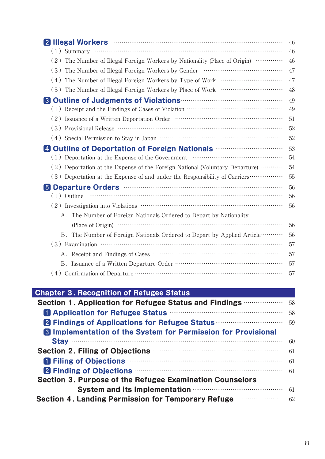| 2 Illegal Workers <b>William Strategie and The Strategie and The Strategie and The Strategie and The Strategie and The Strategie and Theorem</b>                                                                                                                                                                                      |
|---------------------------------------------------------------------------------------------------------------------------------------------------------------------------------------------------------------------------------------------------------------------------------------------------------------------------------------|
| $(1)$ Summary $\cdots$ $\cdots$ $\cdots$ $\cdots$ $\cdots$ $\cdots$ $\cdots$ $\cdots$ $\cdots$ $\cdots$ $\cdots$ $\cdots$ $\cdots$ $\cdots$ $\cdots$ $\cdots$ $\cdots$ $\cdots$ $\cdots$ $\cdots$ $\cdots$ $\cdots$ $\cdots$ $\cdots$ $\cdots$ $\cdots$ $\cdots$ $\cdots$ $\cdots$ $\cdots$ $\cdots$ $\cdots$ $\cdots$ $\cdots$ $\cd$ |
| (2) The Number of Illegal Foreign Workers by Nationality (Place of Origin) ……………                                                                                                                                                                                                                                                      |
|                                                                                                                                                                                                                                                                                                                                       |
|                                                                                                                                                                                                                                                                                                                                       |
|                                                                                                                                                                                                                                                                                                                                       |
| 8 Outline of Judgments of Violations <b>Constitutions</b>                                                                                                                                                                                                                                                                             |
|                                                                                                                                                                                                                                                                                                                                       |
|                                                                                                                                                                                                                                                                                                                                       |
|                                                                                                                                                                                                                                                                                                                                       |
|                                                                                                                                                                                                                                                                                                                                       |
|                                                                                                                                                                                                                                                                                                                                       |
|                                                                                                                                                                                                                                                                                                                                       |
| (2) Deportation at the Expense of the Foreign National (Voluntary Departure) …………                                                                                                                                                                                                                                                     |
| (3) Deportation at the Expense of and under the Responsibility of Carriers……………                                                                                                                                                                                                                                                       |
| 5 Departure Orders <b>Communicates</b> and Departure Orders                                                                                                                                                                                                                                                                           |
| $(1)$ Outline                                                                                                                                                                                                                                                                                                                         |
|                                                                                                                                                                                                                                                                                                                                       |
| A. The Number of Foreign Nationals Ordered to Depart by Nationality                                                                                                                                                                                                                                                                   |
|                                                                                                                                                                                                                                                                                                                                       |
| B. The Number of Foreign Nationals Ordered to Depart by Applied Article                                                                                                                                                                                                                                                               |
| $(3)$ Examination $\cdots$ $\cdots$ $\cdots$ $\cdots$ $\cdots$ $\cdots$ $\cdots$ $\cdots$ $\cdots$ $\cdots$ $\cdots$ $\cdots$ $\cdots$ $\cdots$ $\cdots$ $\cdots$                                                                                                                                                                     |
|                                                                                                                                                                                                                                                                                                                                       |
|                                                                                                                                                                                                                                                                                                                                       |
|                                                                                                                                                                                                                                                                                                                                       |

# **Chapter 3. Recognition of Refugee Status**

| Section 1. Application for Refugee Status and Findings <b></b> 58                                                                    |     |
|--------------------------------------------------------------------------------------------------------------------------------------|-----|
| <b>El Application for Refugee Status manufacture of Application for Refugee Status manufacture of Application for Refugee Status</b> | 58  |
| 2 Findings of Applications for Refugee Status <b>Example 2 Findings of Applications for Refugee Status</b>                           |     |
| <b>8 Implementation of the System for Permission for Provisional</b>                                                                 |     |
|                                                                                                                                      |     |
| Section 2. Filing of Objections <b>CODICION</b> 61                                                                                   |     |
| T Filing of Objections <b>Example 20</b> Filing of Objections                                                                        | -61 |
| 2 Finding of Objections <b>Example 2 Finding of Objections</b>                                                                       |     |
| Section 3. Purpose of the Refugee Examination Counselors                                                                             |     |
| System and its Implementation manufacture of the 61                                                                                  |     |
| Section 4. Landing Permission for Temporary Refuge <b>with the COM</b> 62                                                            |     |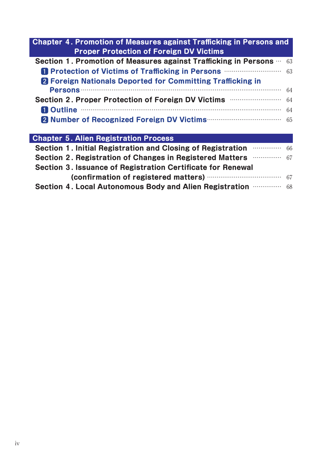| Chapter 4. Promotion of Measures against Trafficking in Persons and<br><b>Proper Protection of Foreign DV Victims</b>                                                                                                                |    |
|--------------------------------------------------------------------------------------------------------------------------------------------------------------------------------------------------------------------------------------|----|
| Section 1. Promotion of Measures against Trafficking in Persons …                                                                                                                                                                    | 63 |
| <b>El Protection of Victims of Trafficking in Persons manually and Strategie Protection of Victims of Trafficking in Persons manually and Strategie Protection of Victims of Trafficking in Persons manually and Strategie Prote</b> | 63 |
| <b>2</b> Foreign Nationals Deported for Committing Trafficking in                                                                                                                                                                    |    |
|                                                                                                                                                                                                                                      | 64 |
| Section 2. Proper Protection of Foreign DV Victims <b>With Accept 2. Proper Protection of Foreign DV</b> Victims                                                                                                                     | 64 |
| El Outline <b>Constitution of the Constitution</b> of the Constitution of the Constitution of the Constitution of the Constitution of the Constitution of the Constitution of the Constitution of the Constitution of the Constitut  | 64 |
|                                                                                                                                                                                                                                      | 65 |
|                                                                                                                                                                                                                                      |    |
| <b>Chapter 5. Alien Registration Process</b>                                                                                                                                                                                         |    |
| Section 1. Initial Registration and Closing of Registration <b>Supering the Section 1.</b> Initial Registration                                                                                                                      |    |
| Section 2. Registration of Changes in Registered Matters <b>Supermann Strategie Contains</b> 67                                                                                                                                      |    |
| Section 3. Issuance of Registration Certificate for Renewal                                                                                                                                                                          |    |

(confirmation of registered matters) **EXECUTE:** 67 **Section 4. Local Autonomous Body and Alien Registration** …………… 68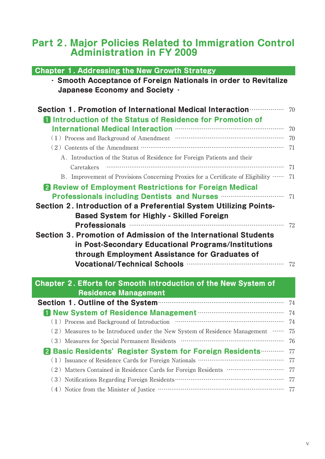# **Part 2. Major Policies Related to Immigration Control Administration in FY 2009**

| <b>Chapter 1. Addressing the New Growth Strategy</b>                                                                                       |    |
|--------------------------------------------------------------------------------------------------------------------------------------------|----|
| · Smooth Acceptance of Foreign Nationals in order to Revitalize                                                                            |    |
| Japanese Economy and Society .                                                                                                             |    |
|                                                                                                                                            |    |
| Section 1. Promotion of International Medical Interaction <b>contraction</b>                                                               | 70 |
| <b>n</b> Introduction of the Status of Residence for Promotion of                                                                          |    |
| International Medical Interaction manufactured and the International                                                                       | 70 |
|                                                                                                                                            | 70 |
| $\left( \,2\,\right) \,$ Contents of the Amendment $\cdots$ . $\cdots$ . $\cdots$ . $\cdots$ . $\cdots$ . $\cdots$ . $\cdots$ . $\cdots$ . | 71 |
| A. Introduction of the Status of Residence for Foreign Patients and their                                                                  |    |
| Caretakers                                                                                                                                 | 71 |
| B. Improvement of Provisions Concerning Proxies for a Certificate of Eligibility                                                           | 71 |
| <b>2</b> Review of Employment Restrictions for Foreign Medical                                                                             |    |
| Professionals including Dentists and Nurses <b></b>                                                                                        | 71 |
| Section 2. Introduction of a Preferential System Utilizing Points-                                                                         |    |
| <b>Based System for Highly - Skilled Foreign</b>                                                                                           |    |
| Professionals manufactured and professionals                                                                                               | 72 |
| Section 3. Promotion of Admission of the International Students                                                                            |    |
| in Post-Secondary Educational Programs/Institutions                                                                                        |    |
| through Employment Assistance for Graduates of                                                                                             |    |
|                                                                                                                                            |    |
|                                                                                                                                            |    |
| <b>Chapter 2. Efforts for Smooth Introduction of the New System of</b>                                                                     |    |
| <b>Residence Management</b>                                                                                                                |    |
| Section 1. Outline of the System manufacture and the Tate 74                                                                               |    |
|                                                                                                                                            | 74 |
|                                                                                                                                            | 74 |
| (2) Measures to be Introduced under the New System of Residence Management ……                                                              | 75 |
|                                                                                                                                            | 76 |
| 2 Basic Residents' Register System for Foreign Residents                                                                                   | 77 |
|                                                                                                                                            | 77 |
| (2) Matters Contained in Residence Cards for Foreign Residents …………………………                                                                  | 77 |
|                                                                                                                                            | 77 |
| $(\,4\,)$ Notice from the Minister of Justice<br>$\,\cdots\,$ $\,\cdots\,$ $\,\cdots\,$ $\,\cdots\,$ . $\,\cdots\,$                        | 77 |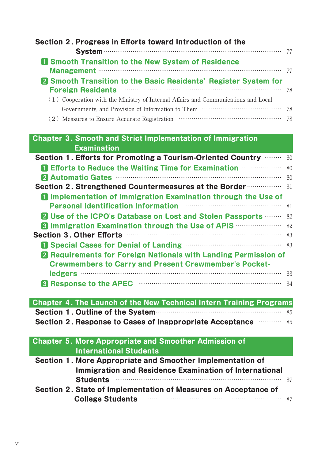| Section 2. Progress in Efforts toward Introduction of the                                                                                                                                                                            |      |
|--------------------------------------------------------------------------------------------------------------------------------------------------------------------------------------------------------------------------------------|------|
|                                                                                                                                                                                                                                      | - 77 |
| <b>1 Smooth Transition to the New System of Residence</b>                                                                                                                                                                            |      |
|                                                                                                                                                                                                                                      | 77   |
| 2 Smooth Transition to the Basic Residents' Register System for<br>Foreign Residents <b>Manual Community</b> Constant Contract Construction Construction Construction Construction Constant                                          | 78   |
| (1) Cooperation with the Ministry of Internal Affairs and Communications and Local                                                                                                                                                   |      |
|                                                                                                                                                                                                                                      | 78   |
|                                                                                                                                                                                                                                      |      |
| <b>Chapter 3. Smooth and Strict Implementation of Immigration</b>                                                                                                                                                                    |      |
| <b>Examination</b>                                                                                                                                                                                                                   |      |
| Section 1. Efforts for Promoting a Tourism-Oriented Country <b></b> 80                                                                                                                                                               |      |
| <b>1 Efforts to Reduce the Waiting Time for Examination <b>Constant</b> 80</b>                                                                                                                                                       |      |
| 2 Automatic Gates <b>Manual Automatic Gates</b>                                                                                                                                                                                      | 80   |
| Section 2. Strengthened Countermeasures at the Border <b>Constantine Street</b> 81                                                                                                                                                   |      |
| <b>I</b> Implementation of Immigration Examination through the Use of<br>Personal Identification Information manufactured and resonal methods and resonal methods are not resonance and                                              | 81   |
| 2 Use of the ICPO's Database on Lost and Stolen Passports <b></b>                                                                                                                                                                    | 82   |
| <b>83 Immigration Examination through the Use of APIS <b>CONS</b> 100 MILE 22</b>                                                                                                                                                    |      |
| Section 3. Other Efforts <b>Commission Contract Contract Contract Contract Contract Contract Contract Contract Contract Contract Contract Contract Contract Contract Contract Contract Contract Contract Contract Contract Contr</b> | 83   |
| <sup>1</sup> Special Cases for Denial of Landing <b>Communicate Cases</b> 83                                                                                                                                                         |      |
| <b>2</b> Requirements for Foreign Nationals with Landing Permission of                                                                                                                                                               |      |
| <b>Crewmembers to Carry and Present Crewmember's Pocket-</b>                                                                                                                                                                         |      |
|                                                                                                                                                                                                                                      |      |
|                                                                                                                                                                                                                                      |      |
|                                                                                                                                                                                                                                      |      |
| Chapter 4. The Launch of the New Technical Intern Training Programs                                                                                                                                                                  |      |
| Section 1. Outline of the System manufactured and 85                                                                                                                                                                                 |      |
| Section 2. Response to Cases of Inappropriate Acceptance <b>William St.</b> 85                                                                                                                                                       |      |
| <b>Chapter 5. More Appropriate and Smoother Admission of</b>                                                                                                                                                                         |      |
| <b>International Students</b>                                                                                                                                                                                                        |      |
| Section 1. More Appropriate and Smoother Implementation of<br>Immigration and Residence Examination of International                                                                                                                 |      |
| <b>Students</b>                                                                                                                                                                                                                      | 87   |
| Section 2. State of Implementation of Measures on Acceptance of                                                                                                                                                                      | -87  |
|                                                                                                                                                                                                                                      |      |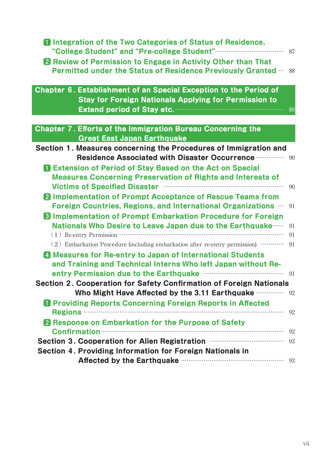| <b>1</b> Integration of the Two Categories of Status of Residence,                                                                                            |
|---------------------------------------------------------------------------------------------------------------------------------------------------------------|
|                                                                                                                                                               |
| <b>2</b> Review of Permission to Engage in Activity Other than That<br><b>Permitted under the Status of Residence Previously Granted </b><br>88               |
| Chapter 6. Establishment of an Special Exception to the Period of                                                                                             |
| <b>Stay for Foreign Nationals Applying for Permission to</b>                                                                                                  |
|                                                                                                                                                               |
|                                                                                                                                                               |
| <b>Chapter 7. Efforts of the Immigration Bureau Concerning the</b><br><b>Great East Japan Earthquake</b>                                                      |
| Section 1. Measures concerning the Procedures of Immigration and                                                                                              |
| <b>Residence Associated with Disaster Occurrence manufolist Constants.</b><br>90                                                                              |
| <b>n</b> Extension of Period of Stay Based on the Act on Special                                                                                              |
| <b>Measures Concerning Preservation of Rights and Interests of</b>                                                                                            |
| Victims of Specified Disaster manufactured and victims of Specified Disaster<br>90                                                                            |
| 2 Implementation of Prompt Acceptance of Rescue Teams from                                                                                                    |
| <b>Foreign Countries, Regions, and International Organizations ••• 91</b>                                                                                     |
| <b>8 Implementation of Prompt Embarkation Procedure for Foreign</b>                                                                                           |
| Nationals Who Desire to Leave Japan due to the Earthquake<br>91                                                                                               |
| $(1)$ Re-entry Permission $\cdots$ $\cdots$ $\cdots$ $\cdots$ $\cdots$ $\cdots$ $\cdots$ $\cdots$ $\cdots$ $\cdots$ $\cdots$ $\cdots$ $\cdots$ $\cdots$<br>91 |
| $(2)$ Embarkation Procedure (including embarkation after re-entry permission) $\cdots$<br>91                                                                  |
| 4 Measures for Re-entry to Japan of International Students                                                                                                    |
| and Training and Technical Interns Who left Japan without Re-                                                                                                 |
| entry Permission due to the Earthquake manufacture manufacture 91                                                                                             |
| Section 2. Cooperation for Safety Confirmation of Foreign Nationals                                                                                           |
| Who Might Have Affected by the 3.11 Earthquake <b>William</b> 92                                                                                              |
| <b>1</b> Providing Reports Concerning Foreign Reports in Affected                                                                                             |
| 92                                                                                                                                                            |
| 2 Response on Embarkation for the Purpose of Safety                                                                                                           |
| Confirmation 32                                                                                                                                               |
| Section 3. Cooperation for Alien Registration <b>multiples</b> and 93                                                                                         |
| Section 4. Providing Information for Foreign Nationals in                                                                                                     |
| Affected by the Earthquake manufacture and the same of the state of the state of the state of the state of the                                                |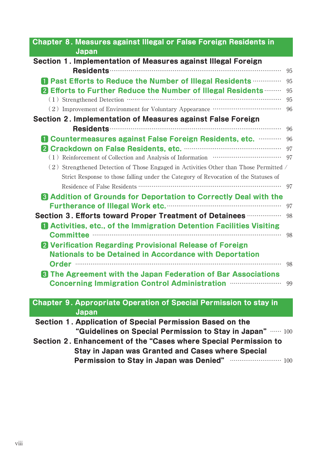| Chapter 8. Measures against Illegal or False Foreign Residents in<br>Japan                                                                         |    |
|----------------------------------------------------------------------------------------------------------------------------------------------------|----|
| Section 1. Implementation of Measures against Illegal Foreign                                                                                      |    |
|                                                                                                                                                    | 95 |
| Past Efforts to Reduce the Number of Illegal Residents                                                                                             | 95 |
| 2 Efforts to Further Reduce the Number of Illegal Residents                                                                                        | 95 |
| $\left( \,1\,\right) \,$ Strengthened Detection $\cdots$ . $\cdots$ . $\cdots$ . $\cdots$ . $\cdots$ . $\cdots$ . $\cdots$ . $\cdots$ . $\cdots$ . | 95 |
|                                                                                                                                                    | 96 |
| Section 2. Implementation of Measures against False Foreign                                                                                        |    |
|                                                                                                                                                    | 96 |
| <b>D</b> Countermeasures against False Foreign Residents, etc. <b></b> 96                                                                          |    |
|                                                                                                                                                    |    |
|                                                                                                                                                    |    |
| $(2)$ Strengthened Detection of Those Engaged in Activities Other than Those Permitted /                                                           |    |
| Strict Response to those falling under the Category of Revocation of the Statuses of                                                               |    |
|                                                                                                                                                    | 97 |
| <b>B</b> Addition of Grounds for Deportation to Correctly Deal with the                                                                            |    |
|                                                                                                                                                    | 97 |
| Section 3. Efforts toward Proper Treatment of Detainees <b></b>                                                                                    | 98 |
| <b>Activities, etc., of the Immigration Detention Facilities Visiting</b>                                                                          |    |
|                                                                                                                                                    | 98 |
| 2 Verification Regarding Provisional Release of Foreign                                                                                            |    |
| <b>Nationals to be Detained in Accordance with Deportation</b>                                                                                     |    |
|                                                                                                                                                    | 98 |
| 8 The Agreement with the Japan Federation of Bar Associations                                                                                      |    |
| Concerning Immigration Control Administration manufacture 99                                                                                       |    |
|                                                                                                                                                    |    |
| <b>Chapter 9. Appropriate Operation of Special Permission to stay in</b>                                                                           |    |
| Japan                                                                                                                                              |    |
| Section 1. Application of Special Permission Based on the                                                                                          |    |
| "Guidelines on Special Permission to Stay in Japan" $\cdots \cdots$ 100                                                                            |    |
| Section 2. Enhancement of the "Cases where Special Permission to                                                                                   |    |
| <b>Stay in Japan was Granted and Cases where Special</b>                                                                                           |    |
| Permission to Stay in Japan was Denied" www.communication 100                                                                                      |    |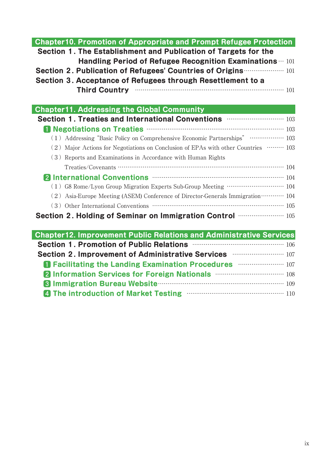| <b>Chapter10. Promotion of Appropriate and Prompt Refugee Protection</b><br>Section 1. The Establishment and Publication of Targets for the<br>Handling Period of Refugee Recognition Examinations $\cdots$ 101<br>Section 2. Publication of Refugees' Countries of Origins <b>Common 2.</b> Publication of Refugees' Countries of Origins <b>Contracts</b><br>Section 3. Acceptance of Refugees through Resettlement to a<br>Third Country manufactured and 101 |
|------------------------------------------------------------------------------------------------------------------------------------------------------------------------------------------------------------------------------------------------------------------------------------------------------------------------------------------------------------------------------------------------------------------------------------------------------------------|
| <b>Chapter11. Addressing the Global Community</b>                                                                                                                                                                                                                                                                                                                                                                                                                |
| Section 1. Treaties and International Conventions <b>CONSCRIPT 2018</b> 103<br>T Negotiations on Treaties <b>Manual According to the 103</b><br>(1) Addressing "Basic Policy on Comprehensive Economic Partnerships" ……………… 103<br>(2) Major Actions for Negotiations on Conclusion of EPAs with other Countries ……… 103<br>(3) Reports and Examinations in Accordance with Human Rights                                                                         |
| 2 International Conventions <b>Conventions Conventions</b> 104<br>$(\,1\,)\,$ G8 Rome/Lyon Group Migration Experts Sub-Group Meeting $\cdots\cdots\cdots\cdots\cdots\cdots\cdots\cdots\cdots\cdots\cdots\,$ 104<br>(2) Asia-Europe Meeting (ASEM) Conference of Director-Generals Immigration ··········· 104<br>Section 2. Holding of Seminar on Immigration Control <b></b> 105                                                                                |
| <b>Chapter12. Improvement Public Relations and Administrative Services</b><br>Section 1. Promotion of Public Relations <b>Entrarchment Contains 106</b><br>Section 2. Improvement of Administrative Services <b>multimerate and 107</b>                                                                                                                                                                                                                          |

| <b>107 Facilitating the Landing Examination Procedures EXAMPLE 107</b>        |  |  |  |
|-------------------------------------------------------------------------------|--|--|--|
| 2 Information Services for Foreign Nationals <b>Mathematical Property</b> 108 |  |  |  |
| <b>8 Immigration Bureau Website Communication and Separate Inc.</b> 109       |  |  |  |
| 4 The introduction of Market Testing <b>Community</b> 110                     |  |  |  |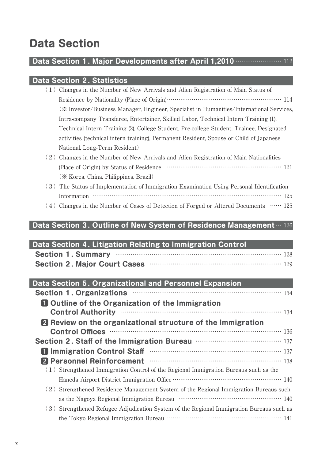# **Data Section**

### **Data Section 1. Major Developments after April 1,2010** …………………… 112

### **Data Section 2. Statistics**

| Changes in the Number of New Arrivals and Alien Registration of Main Status of               |
|----------------------------------------------------------------------------------------------|
|                                                                                              |
| (* Investor/Business Manager, Engineer, Specialist in Humanities/International Services,     |
| Intra-company Transferee, Entertainer, Skilled Labor, Technical Intern Training (1),         |
| Technical Intern Training (2), College Student, Pre-college Student, Trainee, Designated     |
| activities (technical intern training), Permanent Resident, Spouse or Child of Japanese      |
| National, Long-Term Resident)                                                                |
| Changes in the Number of New Arrivals and Alien Registration of Main Nationalities           |
| (Place of Origin) by Status of Residence                                                     |
| (* Korea, China, Philippines, Brazil)                                                        |
| The Status of Implementation of Immigration Examination Using Personal Identification<br>(3) |
| Information                                                                                  |

(4) Changes in the Number of Cases of Detection of Forged or Altered Documents …… 125

### **Data Section 3. Outline of New System of Residence Management** … 126

| Data Section 4. Litigation Relating to Immigration Control |                                                      |
|------------------------------------------------------------|------------------------------------------------------|
|                                                            | Section 1. Summary manufactured and the section 128  |
|                                                            | Section 2. Major Court Cases <b>Communicates</b> 129 |

| Data Section 5. Organizational and Personnel Expansion                                                                                                                                                                               |
|--------------------------------------------------------------------------------------------------------------------------------------------------------------------------------------------------------------------------------------|
| Section 1. Organizations <b>manufactures</b> 134                                                                                                                                                                                     |
| <b>Q</b> Outline of the Organization of the Immigration                                                                                                                                                                              |
| Control Authority manufactured and 134                                                                                                                                                                                               |
| <b>2</b> Review on the organizational structure of the Immigration                                                                                                                                                                   |
| Control Offices <b>Control</b> Offices <b>Control</b> Offices <b>Control</b> Offices <b>Control</b> Offices                                                                                                                          |
| Section 2. Staff of the Immigration Bureau <b>manufation</b> 137                                                                                                                                                                     |
| T Immigration Control Staff <b>Entrance International International International International International International International International International International International International International In</b> |
| 2 Personnel Reinforcement manufactured and 138                                                                                                                                                                                       |
| $(1)$ Strengthened Immigration Control of the Regional Immigration Bureaus such as the                                                                                                                                               |
|                                                                                                                                                                                                                                      |
| (2) Strengthened Residence Management System of the Regional Immigration Bureaus such                                                                                                                                                |
|                                                                                                                                                                                                                                      |
| (3) Strengthened Refugee Adjudication System of the Regional Immigration Bureaus such as                                                                                                                                             |
|                                                                                                                                                                                                                                      |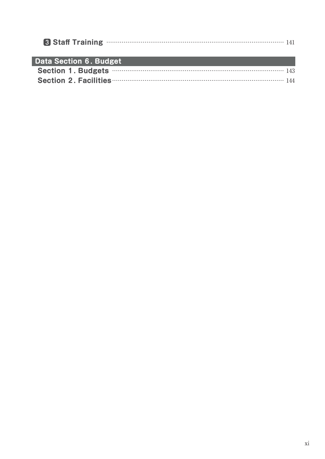|                               | 8 Staff Training <b>Example 20 Staff</b> Training <b>Example 20 Staff</b> Training <b>Example 20</b> |
|-------------------------------|------------------------------------------------------------------------------------------------------|
| <b>Data Section 6. Budget</b> |                                                                                                      |
|                               | Section 1. Budgets <b>Material Section</b> 143                                                       |
|                               | Section 2. Facilities <b>Election 2. Facilities Election</b> 2. Facilities <b>Election</b> 2.        |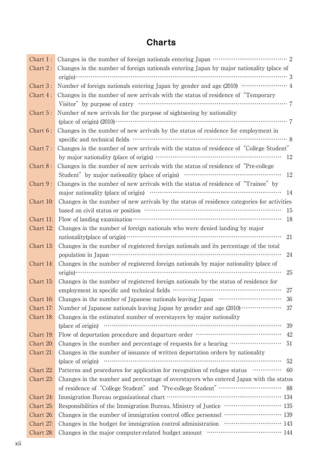# **Charts**

| Chart 1:               |                                                                                                                                                                                                                                                                       |
|------------------------|-----------------------------------------------------------------------------------------------------------------------------------------------------------------------------------------------------------------------------------------------------------------------|
| Chart 2:               | Changes in the number of foreign nationals entering Japan by major nationality (place of                                                                                                                                                                              |
|                        |                                                                                                                                                                                                                                                                       |
| Chart 3:               | Number of foreign nationals entering Japan by gender and age (2010) ······················· 4                                                                                                                                                                         |
| Chart 4:               | Changes in the number of new arrivals with the status of residence of "Temporary"                                                                                                                                                                                     |
|                        |                                                                                                                                                                                                                                                                       |
| Chart 5:               | Number of new arrivals for the purpose of sightseeing by nationality                                                                                                                                                                                                  |
|                        |                                                                                                                                                                                                                                                                       |
| Chart 6:               | Changes in the number of new arrivals by the status of residence for employment in                                                                                                                                                                                    |
|                        |                                                                                                                                                                                                                                                                       |
| Chart 7:               | Changes in the number of new arrivals with the status of residence of "College Student"                                                                                                                                                                               |
|                        |                                                                                                                                                                                                                                                                       |
| Chart 8:               | Changes in the number of new arrivals with the status of residence of "Pre-college"                                                                                                                                                                                   |
|                        | Student" by major nationality (place of origin) ………………………………………………………………………………………<br>12                                                                                                                                                                               |
| Chart 9:               | Changes in the number of new arrivals with the status of residence of "Trainee" by                                                                                                                                                                                    |
|                        | -14                                                                                                                                                                                                                                                                   |
| Chart 10:              | Changes in the number of new arrivals by the status of residence categories for activities                                                                                                                                                                            |
|                        | 15                                                                                                                                                                                                                                                                    |
| Chart 11:              | -18                                                                                                                                                                                                                                                                   |
| Chart 12:              | Changes in the number of foreign nationals who were denied landing by major                                                                                                                                                                                           |
|                        | 21                                                                                                                                                                                                                                                                    |
| Chart 13:              | Changes in the number of registered foreign nationals and its percentage of the total                                                                                                                                                                                 |
|                        | 24                                                                                                                                                                                                                                                                    |
| Chart 14:              | Changes in the number of registered foreign nationals by major nationality (place of                                                                                                                                                                                  |
|                        | 25                                                                                                                                                                                                                                                                    |
| Chart 15:              | Changes in the number of registered foreign nationals by the status of residence for                                                                                                                                                                                  |
|                        | 27                                                                                                                                                                                                                                                                    |
| Chart 16:              | - 36                                                                                                                                                                                                                                                                  |
| Chart 17:              | Number of Japanese nationals leaving Japan by gender and age (2010)<br>37                                                                                                                                                                                             |
| Chart 18:              | Changes in the estimated number of overstayers by major nationality<br>(place of origin) with the contract of origin and contract of origin and contract of origin and contract of original state of original state of original state of original state of $\alpha$ . |
|                        | 39<br>Flow of deportation procedure and departure order ………………………………………………………………………………<br>42                                                                                                                                                                          |
| Chart 19:<br>Chart 20: | 51                                                                                                                                                                                                                                                                    |
| Chart 21:              | Changes in the number of issuance of written deportation orders by nationality                                                                                                                                                                                        |
|                        | (place of origin) (place of origin)<br>52                                                                                                                                                                                                                             |
| Chart 22:              | Patterns and procedures for application for recognition of refugee status minimum<br>-60                                                                                                                                                                              |
| Chart 23:              | Changes in the number and percentage of overstayers who entered Japan with the status                                                                                                                                                                                 |
|                        |                                                                                                                                                                                                                                                                       |
| Chart 24:              |                                                                                                                                                                                                                                                                       |
| Chart 25:              | Responsibilities of the Immigration Bureau, Ministry of Justice ………………………… 135                                                                                                                                                                                        |
| Chart 26:              | Changes in the number of immigration control office personnel ………………………… 139                                                                                                                                                                                          |
| Chart 27:              | Changes in the budget for immigration control administration manufacture 143                                                                                                                                                                                          |
| Chart 28:              | Changes in the major computer-related budget amount ………………………………… 144                                                                                                                                                                                                 |
|                        |                                                                                                                                                                                                                                                                       |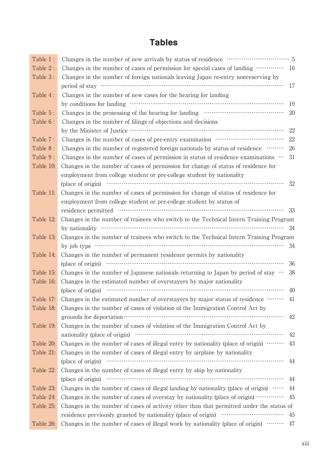# **Tables**

| Table 1:  |                                                                                                                                                                                                                                |      |
|-----------|--------------------------------------------------------------------------------------------------------------------------------------------------------------------------------------------------------------------------------|------|
| Table 2:  | Changes in the number of cases of permission for special cases of landing  16                                                                                                                                                  |      |
| Table 3:  | Changes in the number of foreign nationals leaving Japan re-entry nonreserving by                                                                                                                                              |      |
|           |                                                                                                                                                                                                                                | 17   |
| Table 4:  | Changes in the number of new cases for the hearing for landing                                                                                                                                                                 |      |
|           |                                                                                                                                                                                                                                | 19   |
| Table 5:  |                                                                                                                                                                                                                                | 20   |
| Table 6:  | Changes in the number of filings of objections and decisions                                                                                                                                                                   |      |
|           |                                                                                                                                                                                                                                | 22   |
| Table 7:  | Changes in the number of cases of pre-entry examination …………………………………………………………………                                                                                                                                              | 22   |
| Table 8:  | Changes in the number of registered foreign nationals by status of residence                                                                                                                                                   | 26   |
| Table 9:  | Changes in the number of cases of permission in status of residence examinations $\cdots$                                                                                                                                      | 31   |
| Table 10: | Changes in the number of cases of permission for change of status of residence for                                                                                                                                             |      |
|           | employment from college student or pre-college student by nationality                                                                                                                                                          |      |
|           |                                                                                                                                                                                                                                | 32   |
| Table 11: | Changes in the number of cases of permission for change of status of residence for                                                                                                                                             |      |
|           | employment from college student or pre-college student by status of                                                                                                                                                            |      |
|           |                                                                                                                                                                                                                                | - 33 |
| Table 12: | Changes in the number of trainees who switch to the Technical Intern Training Program                                                                                                                                          |      |
|           | by nationality $\cdots$ $\cdots$ $\cdots$ $\cdots$ $\cdots$ $\cdots$ $\cdots$ $\cdots$ $\cdots$ $\cdots$ $\cdots$ $\cdots$ $\cdots$ $\cdots$ $\cdots$ $\cdots$ $\cdots$ $\cdots$ $\cdots$ $\cdots$                             |      |
| Table 13: | Changes in the number of trainees who switch to the Technical Intern Training Program                                                                                                                                          |      |
|           | by job type $\cdots$ $\cdots$ $\cdots$ $\cdots$ $\cdots$ $\cdots$ $\cdots$ $\cdots$ $\cdots$ $\cdots$ $\cdots$ $\cdots$ $\cdots$ $\cdots$ $\cdots$                                                                             | 34   |
| Table 14: | Changes in the number of permanent residence permits by nationality                                                                                                                                                            |      |
|           | (place of origin) with the contract of origin and the contract of origin and the contract of origin and the contract of the contract of the contract of the contract of the contract of the contract of the contract of the co | 36   |
| Table 15: | Changes in the number of Japanese nationals returning to Japan by period of stay $\cdots$                                                                                                                                      | 38   |
| Table 16: | Changes in the estimated number of overstayers by major nationality                                                                                                                                                            |      |
|           |                                                                                                                                                                                                                                | 40   |
| Table 17: | Changes in the estimated number of overstayers by major status of residence ……… 41                                                                                                                                             |      |
| Table 18: | Changes in the number of cases of violation of the Immigration Control Act by                                                                                                                                                  |      |
|           |                                                                                                                                                                                                                                | 42   |
| Table 19: | Changes in the number of cases of violation of the Immigration Control Act by                                                                                                                                                  |      |
|           |                                                                                                                                                                                                                                | 42   |
| Table 20: | Changes in the number of cases of illegal entry by nationality (place of origin)                                                                                                                                               | 43   |
| Table 21: | Changes in the number of cases of illegal entry by airplane by nationality                                                                                                                                                     |      |
|           | (place of origin) manufactured and contact the contact of origin)                                                                                                                                                              | 44   |
| Table 22: | Changes in the number of cases of illegal entry by ship by nationality                                                                                                                                                         |      |
|           | (place of origin) manufactured and contact the contact of origin)                                                                                                                                                              | 44   |
| Table 23: | Changes in the number of cases of illegal landing by nationality (place of origin) $\cdots$                                                                                                                                    | 44   |
| Table 24: | Changes in the number of cases of overstay by nationality (place of origin)                                                                                                                                                    | 45   |
| Table 25: | Changes in the number of cases of activity other than that permitted under the status of                                                                                                                                       |      |
|           |                                                                                                                                                                                                                                | 45   |
| Table 26: | Changes in the number of cases of illegal work by nationality (place of origin)                                                                                                                                                | 47   |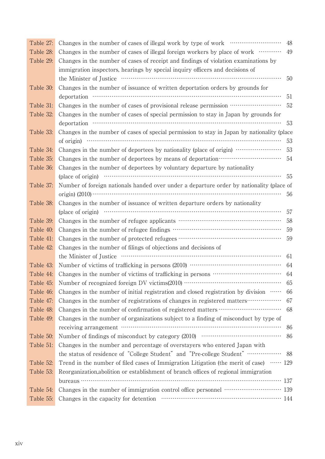| Table 27: |                                                                                                                                                                                                                                                                                                                                       | 48  |
|-----------|---------------------------------------------------------------------------------------------------------------------------------------------------------------------------------------------------------------------------------------------------------------------------------------------------------------------------------------|-----|
| Table 28: | Changes in the number of cases of illegal foreign workers by place of work                                                                                                                                                                                                                                                            | 49  |
| Table 29: | Changes in the number of cases of receipt and findings of violation examinations by                                                                                                                                                                                                                                                   |     |
|           | immigration inspectors, hearings by special inquiry officers and decisions of                                                                                                                                                                                                                                                         |     |
|           |                                                                                                                                                                                                                                                                                                                                       | 50  |
| Table 30: | Changes in the number of issuance of written deportation orders by grounds for                                                                                                                                                                                                                                                        |     |
|           |                                                                                                                                                                                                                                                                                                                                       | 51  |
| Table 31: | Changes in the number of cases of provisional release permission …………………………………………                                                                                                                                                                                                                                                     | 52  |
| Table 32: | Changes in the number of cases of special permission to stay in Japan by grounds for                                                                                                                                                                                                                                                  |     |
|           |                                                                                                                                                                                                                                                                                                                                       | 53  |
| Table 33: | Changes in the number of cases of special permission to stay in Japan by nationality (place                                                                                                                                                                                                                                           |     |
|           | of origin) $\cdots$ $\cdots$ $\cdots$ $\cdots$ $\cdots$ $\cdots$ $\cdots$ $\cdots$ $\cdots$ $\cdots$ $\cdots$ $\cdots$ $\cdots$ $\cdots$ $\cdots$ $\cdots$ $\cdots$ $\cdots$ $\cdots$ $\cdots$ $\cdots$ $\cdots$ $\cdots$ $\cdots$ $\cdots$ $\cdots$ $\cdots$ $\cdots$ $\cdots$ $\cdots$ $\cdots$ $\cdots$ $\cdots$ $\cdots$ $\cdots$ | 53  |
| Table 34: | Changes in the number of deportees by nationality (place of origin)                                                                                                                                                                                                                                                                   | 53  |
| Table 35: | Changes in the number of deportees by means of deportation……………………………………………………………                                                                                                                                                                                                                                                     | 54  |
| Table 36: | Changes in the number of deportees by voluntary departure by nationality                                                                                                                                                                                                                                                              |     |
|           | (place of origin) manufactured and contact the contact of origin)                                                                                                                                                                                                                                                                     | 55  |
| Table 37: | Number of foreign nationals handed over under a departure order by nationality (place of                                                                                                                                                                                                                                              |     |
|           | $\sigma$ igin) (2010) $\cdots$                                                                                                                                                                                                                                                                                                        | 56  |
| Table 38: | Changes in the number of issuance of written departure orders by nationality                                                                                                                                                                                                                                                          |     |
|           | (place of origin) with the contract of origin and the contract of origin and the contract of origin and the contract of origin and the contract of origin and the contract of the contract of $\alpha$ .                                                                                                                              | 57  |
| Table 39: |                                                                                                                                                                                                                                                                                                                                       | 58  |
| Table 40: |                                                                                                                                                                                                                                                                                                                                       | 59  |
| Table 41: |                                                                                                                                                                                                                                                                                                                                       | 59  |
| Table 42: | Changes in the number of filings of objections and decisions of                                                                                                                                                                                                                                                                       |     |
|           |                                                                                                                                                                                                                                                                                                                                       | 61  |
| Table 43: |                                                                                                                                                                                                                                                                                                                                       | 64  |
| Table 44: |                                                                                                                                                                                                                                                                                                                                       | 64  |
| Table 45: |                                                                                                                                                                                                                                                                                                                                       | 65  |
| Table 46: | Changes in the number of initial registration and closed registration by division                                                                                                                                                                                                                                                     | 66  |
| Table 47: | Changes in the number of registrations of changes in registered matters                                                                                                                                                                                                                                                               | 67  |
| Table 48: | Changes in the number of confirmation of registered matters ………………………………………………………                                                                                                                                                                                                                                                     | 68  |
| Table 49: | Changes in the number of organizations subject to a finding of misconduct by type of                                                                                                                                                                                                                                                  |     |
|           |                                                                                                                                                                                                                                                                                                                                       | 86  |
| Table 50: |                                                                                                                                                                                                                                                                                                                                       | 86  |
| Table 51: | Changes in the number and percentage of overstayers who entered Japan with                                                                                                                                                                                                                                                            |     |
|           | the status of residence of "College Student" and "Pre-college Student"                                                                                                                                                                                                                                                                | -88 |
| Table 52: | Trend in the number of filed cases of Immigration Litigation (the merit of case) …… 129                                                                                                                                                                                                                                               |     |
| Table 53: | Reorganization, abolition or establishment of branch offices of regional immigration                                                                                                                                                                                                                                                  |     |
|           |                                                                                                                                                                                                                                                                                                                                       |     |
| Table 54: | Changes in the number of immigration control office personnel ………………………… 139                                                                                                                                                                                                                                                          |     |
| Table 55: |                                                                                                                                                                                                                                                                                                                                       |     |